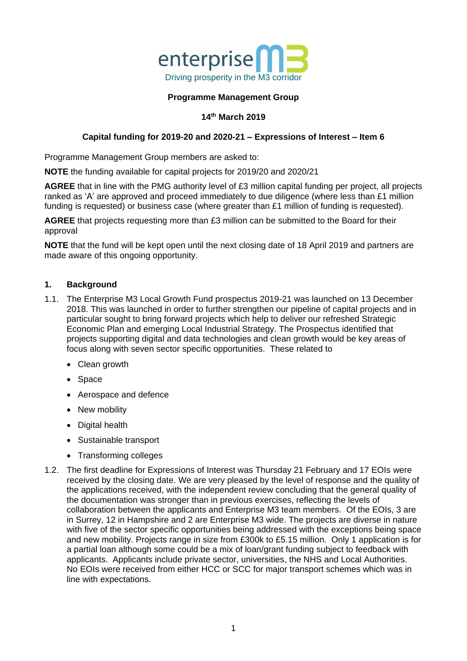

#### **Programme Management Group**

## **14th March 2019**

## **Capital funding for 2019-20 and 2020-21 – Expressions of Interest – Item 6**

Programme Management Group members are asked to:

**NOTE** the funding available for capital projects for 2019/20 and 2020/21

**AGREE** that in line with the PMG authority level of £3 million capital funding per project, all projects ranked as 'A' are approved and proceed immediately to due diligence (where less than £1 million funding is requested) or business case (where greater than £1 million of funding is requested).

**AGREE** that projects requesting more than £3 million can be submitted to the Board for their approval

**NOTE** that the fund will be kept open until the next closing date of 18 April 2019 and partners are made aware of this ongoing opportunity.

#### **1. Background**

- 1.1. The Enterprise M3 Local Growth Fund prospectus 2019-21 was launched on 13 December 2018. This was launched in order to further strengthen our pipeline of capital projects and in particular sought to bring forward projects which help to deliver our refreshed Strategic Economic Plan and emerging Local Industrial Strategy. The Prospectus identified that projects supporting digital and data technologies and clean growth would be key areas of focus along with seven sector specific opportunities. These related to
	- Clean growth
	- Space
	- Aerospace and defence
	- New mobility
	- Digital health
	- Sustainable transport
	- Transforming colleges
- 1.2. The first deadline for Expressions of Interest was Thursday 21 February and 17 EOIs were received by the closing date. We are very pleased by the level of response and the quality of the applications received, with the independent review concluding that the general quality of the documentation was stronger than in previous exercises, reflecting the levels of collaboration between the applicants and Enterprise M3 team members. Of the EOIs, 3 are in Surrey, 12 in Hampshire and 2 are Enterprise M3 wide. The projects are diverse in nature with five of the sector specific opportunities being addressed with the exceptions being space and new mobility. Projects range in size from £300k to £5.15 million. Only 1 application is for a partial loan although some could be a mix of loan/grant funding subject to feedback with applicants. Applicants include private sector, universities, the NHS and Local Authorities. No EOIs were received from either HCC or SCC for major transport schemes which was in line with expectations.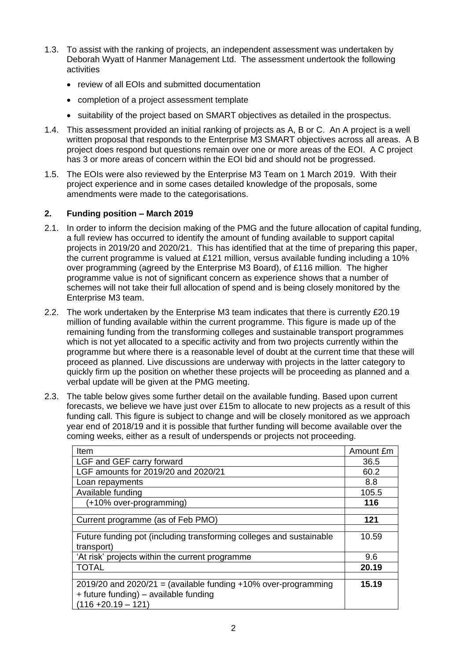- 1.3. To assist with the ranking of projects, an independent assessment was undertaken by Deborah Wyatt of Hanmer Management Ltd. The assessment undertook the following activities
	- review of all EOIs and submitted documentation
	- completion of a project assessment template
	- suitability of the project based on SMART objectives as detailed in the prospectus.
- 1.4. This assessment provided an initial ranking of projects as A, B or C. An A project is a well written proposal that responds to the Enterprise M3 SMART objectives across all areas. A B project does respond but questions remain over one or more areas of the EOI. A C project has 3 or more areas of concern within the EOI bid and should not be progressed.
- 1.5. The EOIs were also reviewed by the Enterprise M3 Team on 1 March 2019. With their project experience and in some cases detailed knowledge of the proposals, some amendments were made to the categorisations.

## **2. Funding position – March 2019**

- 2.1. In order to inform the decision making of the PMG and the future allocation of capital funding, a full review has occurred to identify the amount of funding available to support capital projects in 2019/20 and 2020/21. This has identified that at the time of preparing this paper, the current programme is valued at £121 million, versus available funding including a 10% over programming (agreed by the Enterprise M3 Board), of £116 million. The higher programme value is not of significant concern as experience shows that a number of schemes will not take their full allocation of spend and is being closely monitored by the Enterprise M3 team.
- 2.2. The work undertaken by the Enterprise M3 team indicates that there is currently £20.19 million of funding available within the current programme. This figure is made up of the remaining funding from the transforming colleges and sustainable transport programmes which is not yet allocated to a specific activity and from two projects currently within the programme but where there is a reasonable level of doubt at the current time that these will proceed as planned. Live discussions are underway with projects in the latter category to quickly firm up the position on whether these projects will be proceeding as planned and a verbal update will be given at the PMG meeting.
- 2.3. The table below gives some further detail on the available funding. Based upon current forecasts, we believe we have just over £15m to allocate to new projects as a result of this funding call. This figure is subject to change and will be closely monitored as we approach year end of 2018/19 and it is possible that further funding will become available over the coming weeks, either as a result of underspends or projects not proceeding.

| Item                                                                | Amount £m |
|---------------------------------------------------------------------|-----------|
| LGF and GEF carry forward                                           | 36.5      |
| LGF amounts for 2019/20 and 2020/21                                 | 60.2      |
| Loan repayments                                                     | 8.8       |
| Available funding                                                   | 105.5     |
| (+10% over-programming)                                             | 116       |
|                                                                     |           |
| Current programme (as of Feb PMO)                                   | 121       |
|                                                                     |           |
| Future funding pot (including transforming colleges and sustainable | 10.59     |
| transport)                                                          |           |
| 'At risk' projects within the current programme                     | 9.6       |
| <b>TOTAL</b>                                                        | 20.19     |
|                                                                     |           |
| $2019/20$ and $2020/21$ = (available funding +10% over-programming  | 15.19     |
| + future funding) – available funding                               |           |
| $(116 + 20.19 - 121)$                                               |           |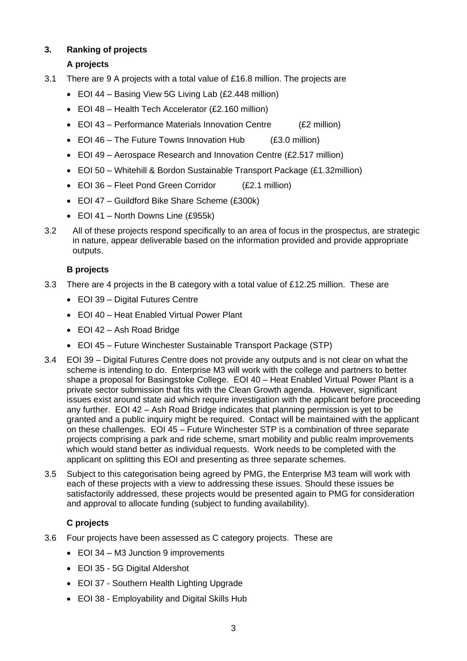# **3. Ranking of projects**

# **A projects**

- 3.1 There are 9 A projects with a total value of £16.8 million. The projects are
	- EOI 44 Basing View 5G Living Lab (£2.448 million)
	- EOI 48 Health Tech Accelerator (£2.160 million)
	- EOI 43 Performance Materials Innovation Centre (£2 million)
	- EOI 46 The Future Towns Innovation Hub (£3.0 million)
	- EOI 49 Aerospace Research and Innovation Centre (£2.517 million)
	- EOI 50 Whitehill & Bordon Sustainable Transport Package (£1.32million)
	- EOI 36 Fleet Pond Green Corridor (£2.1 million)
	- EOI 47 Guildford Bike Share Scheme (£300k)
	- EOI 41 North Downs Line (£955k)
- 3.2 All of these projects respond specifically to an area of focus in the prospectus, are strategic in nature, appear deliverable based on the information provided and provide appropriate outputs.

# **B projects**

- 3.3 There are 4 projects in the B category with a total value of £12.25 million. These are
	- EOI 39 Digital Futures Centre
	- EOI 40 Heat Enabled Virtual Power Plant
	- EOI 42 Ash Road Bridge
	- EOI 45 Future Winchester Sustainable Transport Package (STP)
- 3.4 EOI 39 Digital Futures Centre does not provide any outputs and is not clear on what the scheme is intending to do. Enterprise M3 will work with the college and partners to better shape a proposal for Basingstoke College. EOI 40 – Heat Enabled Virtual Power Plant is a private sector submission that fits with the Clean Growth agenda. However, significant issues exist around state aid which require investigation with the applicant before proceeding any further. EOI 42 – Ash Road Bridge indicates that planning permission is yet to be granted and a public inquiry might be required. Contact will be maintained with the applicant on these challenges. EOI 45 – Future Winchester STP is a combination of three separate projects comprising a park and ride scheme, smart mobility and public realm improvements which would stand better as individual requests. Work needs to be completed with the applicant on splitting this EOI and presenting as three separate schemes.
- 3.5 Subject to this categorisation being agreed by PMG, the Enterprise M3 team will work with each of these projects with a view to addressing these issues. Should these issues be satisfactorily addressed, these projects would be presented again to PMG for consideration and approval to allocate funding (subject to funding availability).

# **C projects**

- 3.6 Four projects have been assessed as C category projects. These are
	- EOI 34 M3 Junction 9 improvements
	- EOI 35 5G Digital Aldershot
	- EOI 37 Southern Health Lighting Upgrade
	- EOI 38 Employability and Digital Skills Hub